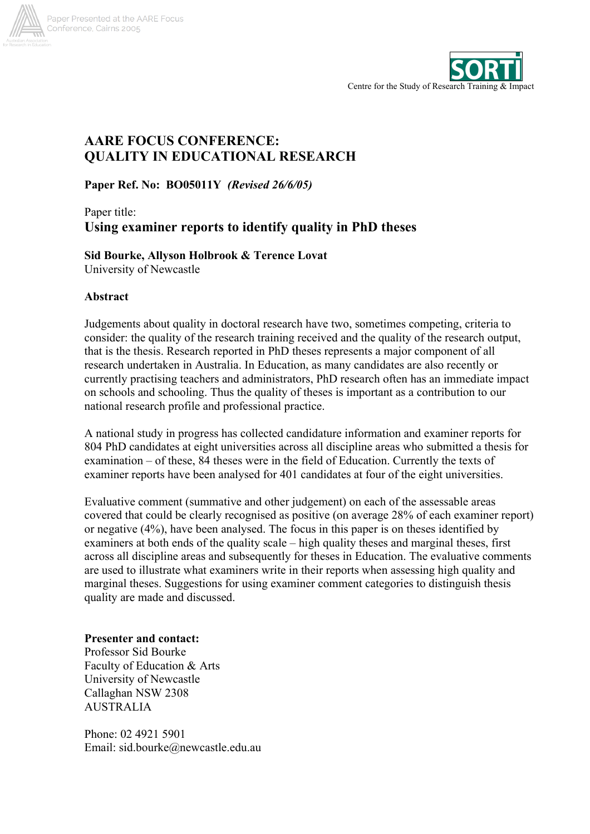



# **AARE FOCUS CONFERENCE: QUALITY IN EDUCATIONAL RESEARCH**

**Paper Ref. No: BO05011Y** *(Revised 26/6/05)*

## Paper title: **Using examiner reports to identify quality in PhD theses**

## **Sid Bourke, Allyson Holbrook & Terence Lovat**

University of Newcastle

## **Abstract**

Judgements about quality in doctoral research have two, sometimes competing, criteria to consider: the quality of the research training received and the quality of the research output, that is the thesis. Research reported in PhD theses represents a major component of all research undertaken in Australia. In Education, as many candidates are also recently or currently practising teachers and administrators, PhD research often has an immediate impact on schools and schooling. Thus the quality of theses is important as a contribution to our national research profile and professional practice.

A national study in progress has collected candidature information and examiner reports for 804 PhD candidates at eight universities across all discipline areas who submitted a thesis for examination – of these, 84 theses were in the field of Education. Currently the texts of examiner reports have been analysed for 401 candidates at four of the eight universities.

Evaluative comment (summative and other judgement) on each of the assessable areas covered that could be clearly recognised as positive (on average 28% of each examiner report) or negative (4%), have been analysed. The focus in this paper is on theses identified by examiners at both ends of the quality scale – high quality theses and marginal theses, first across all discipline areas and subsequently for theses in Education. The evaluative comments are used to illustrate what examiners write in their reports when assessing high quality and marginal theses. Suggestions for using examiner comment categories to distinguish thesis quality are made and discussed.

## **Presenter and contact:**

Professor Sid Bourke Faculty of Education & Arts University of Newcastle Callaghan NSW 2308 AUSTRALIA

Phone: 02 4921 5901 Email: sid.bourke@newcastle.edu.au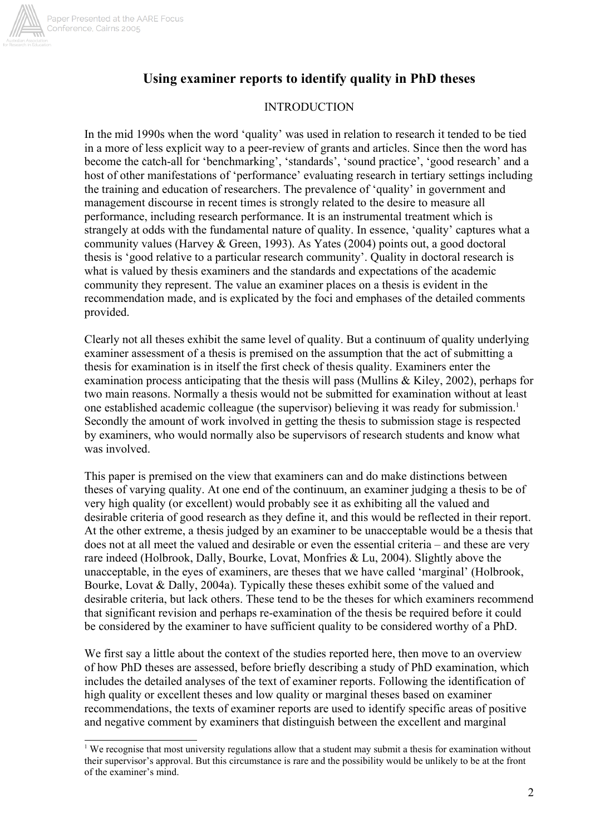

## **Using examiner reports to identify quality in PhD theses**

### INTRODUCTION

In the mid 1990s when the word 'quality' was used in relation to research it tended to be tied in a more of less explicit way to a peer-review of grants and articles. Since then the word has become the catch-all for 'benchmarking', 'standards', 'sound practice', 'good research' and a host of other manifestations of 'performance' evaluating research in tertiary settings including the training and education of researchers. The prevalence of 'quality' in government and management discourse in recent times is strongly related to the desire to measure all performance, including research performance. It is an instrumental treatment which is strangely at odds with the fundamental nature of quality. In essence, 'quality' captures what a community values (Harvey & Green, 1993). As Yates (2004) points out, a good doctoral thesis is 'good relative to a particular research community'. Quality in doctoral research is what is valued by thesis examiners and the standards and expectations of the academic community they represent. The value an examiner places on a thesis is evident in the recommendation made, and is explicated by the foci and emphases of the detailed comments provided.

Clearly not all theses exhibit the same level of quality. But a continuum of quality underlying examiner assessment of a thesis is premised on the assumption that the act of submitting a thesis for examination is in itself the first check of thesis quality. Examiners enter the examination process anticipating that the thesis will pass (Mullins & Kiley, 2002), perhaps for two main reasons. Normally a thesis would not be submitted for examination without at least one established academic colleague (the supervisor) believing it was ready for submission.<sup>1</sup> Secondly the amount of work involved in getting the thesis to submission stage is respected by examiners, who would normally also be supervisors of research students and know what was involved.

This paper is premised on the view that examiners can and do make distinctions between theses of varying quality. At one end of the continuum, an examiner judging a thesis to be of very high quality (or excellent) would probably see it as exhibiting all the valued and desirable criteria of good research as they define it, and this would be reflected in their report. At the other extreme, a thesis judged by an examiner to be unacceptable would be a thesis that does not at all meet the valued and desirable or even the essential criteria – and these are very rare indeed (Holbrook, Dally, Bourke, Lovat, Monfries & Lu, 2004). Slightly above the unacceptable, in the eyes of examiners, are theses that we have called 'marginal' (Holbrook, Bourke, Lovat & Dally, 2004a). Typically these theses exhibit some of the valued and desirable criteria, but lack others. These tend to be the theses for which examiners recommend that significant revision and perhaps re-examination of the thesis be required before it could be considered by the examiner to have sufficient quality to be considered worthy of a PhD.

We first say a little about the context of the studies reported here, then move to an overview of how PhD theses are assessed, before briefly describing a study of PhD examination, which includes the detailed analyses of the text of examiner reports. Following the identification of high quality or excellent theses and low quality or marginal theses based on examiner recommendations, the texts of examiner reports are used to identify specific areas of positive and negative comment by examiners that distinguish between the excellent and marginal

<sup>&</sup>lt;sup>1</sup> We recognise that most university regulations allow that a student may submit a thesis for examination without their supervisor's approval. But this circumstance is rare and the possibility would be unlikely to be at the front of the examiner's mind.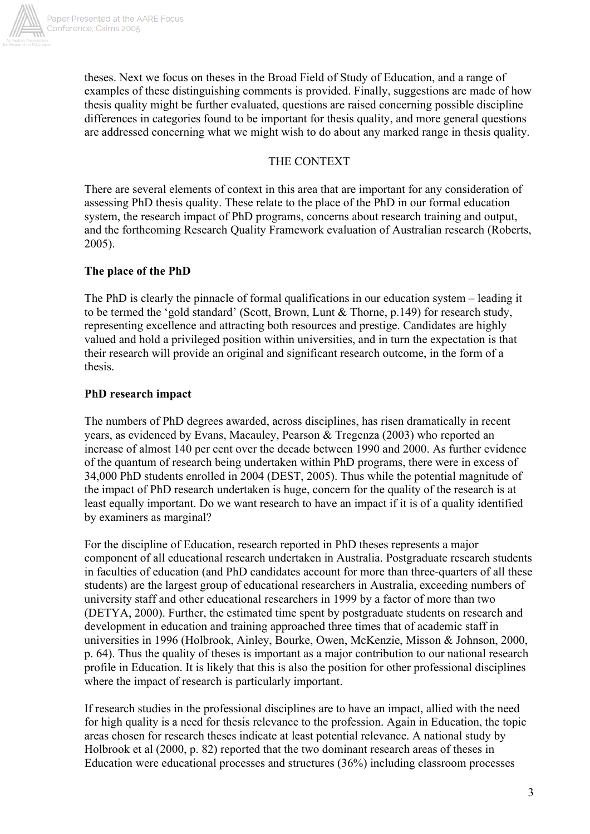

theses. Next we focus on theses in the Broad Field of Study of Education, and a range of examples of these distinguishing comments is provided. Finally, suggestions are made of how thesis quality might be further evaluated, questions are raised concerning possible discipline differences in categories found to be important for thesis quality, and more general questions are addressed concerning what we might wish to do about any marked range in thesis quality.

## THE CONTEXT

There are several elements of context in this area that are important for any consideration of assessing PhD thesis quality. These relate to the place of the PhD in our formal education system, the research impact of PhD programs, concerns about research training and output, and the forthcoming Research Quality Framework evaluation of Australian research (Roberts, 2005).

## **The place of the PhD**

The PhD is clearly the pinnacle of formal qualifications in our education system – leading it to be termed the 'gold standard' (Scott, Brown, Lunt & Thorne, p.149) for research study, representing excellence and attracting both resources and prestige. Candidates are highly valued and hold a privileged position within universities, and in turn the expectation is that their research will provide an original and significant research outcome, in the form of a thesis.

## **PhD research impact**

The numbers of PhD degrees awarded, across disciplines, has risen dramatically in recent years, as evidenced by Evans, Macauley, Pearson & Tregenza (2003) who reported an increase of almost 140 per cent over the decade between 1990 and 2000. As further evidence of the quantum of research being undertaken within PhD programs, there were in excess of 34,000 PhD students enrolled in 2004 (DEST, 2005). Thus while the potential magnitude of the impact of PhD research undertaken is huge, concern for the quality of the research is at least equally important. Do we want research to have an impact if it is of a quality identified by examiners as marginal?

For the discipline of Education, research reported in PhD theses represents a major component of all educational research undertaken in Australia. Postgraduate research students in faculties of education (and PhD candidates account for more than three-quarters of all these students) are the largest group of educational researchers in Australia, exceeding numbers of university staff and other educational researchers in 1999 by a factor of more than two (DETYA, 2000). Further, the estimated time spent by postgraduate students on research and development in education and training approached three times that of academic staff in universities in 1996 (Holbrook, Ainley, Bourke, Owen, McKenzie, Misson & Johnson, 2000, p. 64). Thus the quality of theses is important as a major contribution to our national research profile in Education. It is likely that this is also the position for other professional disciplines where the impact of research is particularly important.

If research studies in the professional disciplines are to have an impact, allied with the need for high quality is a need for thesis relevance to the profession. Again in Education, the topic areas chosen for research theses indicate at least potential relevance. A national study by Holbrook et al (2000, p. 82) reported that the two dominant research areas of theses in Education were educational processes and structures (36%) including classroom processes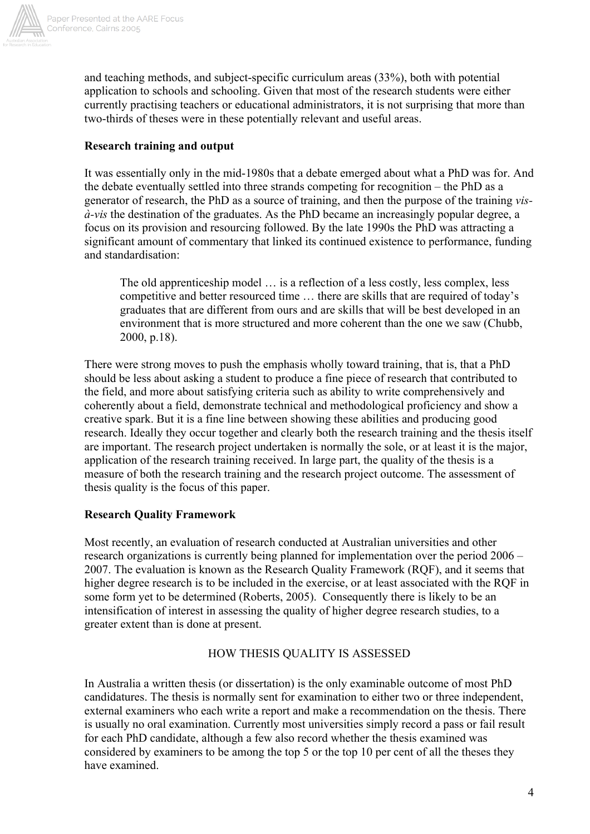

and teaching methods, and subject-specific curriculum areas (33%), both with potential application to schools and schooling. Given that most of the research students were either currently practising teachers or educational administrators, it is not surprising that more than two-thirds of theses were in these potentially relevant and useful areas.

## **Research training and output**

It was essentially only in the mid-1980s that a debate emerged about what a PhD was for. And the debate eventually settled into three strands competing for recognition – the PhD as a generator of research, the PhD as a source of training, and then the purpose of the training *visà-vis* the destination of the graduates. As the PhD became an increasingly popular degree, a focus on its provision and resourcing followed. By the late 1990s the PhD was attracting a significant amount of commentary that linked its continued existence to performance, funding and standardisation:

The old apprenticeship model … is a reflection of a less costly, less complex, less competitive and better resourced time … there are skills that are required of today's graduates that are different from ours and are skills that will be best developed in an environment that is more structured and more coherent than the one we saw (Chubb, 2000, p.18).

There were strong moves to push the emphasis wholly toward training, that is, that a PhD should be less about asking a student to produce a fine piece of research that contributed to the field, and more about satisfying criteria such as ability to write comprehensively and coherently about a field, demonstrate technical and methodological proficiency and show a creative spark. But it is a fine line between showing these abilities and producing good research. Ideally they occur together and clearly both the research training and the thesis itself are important. The research project undertaken is normally the sole, or at least it is the major, application of the research training received. In large part, the quality of the thesis is a measure of both the research training and the research project outcome. The assessment of thesis quality is the focus of this paper.

## **Research Quality Framework**

Most recently, an evaluation of research conducted at Australian universities and other research organizations is currently being planned for implementation over the period 2006 – 2007. The evaluation is known as the Research Quality Framework (RQF), and it seems that higher degree research is to be included in the exercise, or at least associated with the RQF in some form yet to be determined (Roberts, 2005). Consequently there is likely to be an intensification of interest in assessing the quality of higher degree research studies, to a greater extent than is done at present.

## HOW THESIS QUALITY IS ASSESSED

In Australia a written thesis (or dissertation) is the only examinable outcome of most PhD candidatures. The thesis is normally sent for examination to either two or three independent, external examiners who each write a report and make a recommendation on the thesis. There is usually no oral examination. Currently most universities simply record a pass or fail result for each PhD candidate, although a few also record whether the thesis examined was considered by examiners to be among the top 5 or the top 10 per cent of all the theses they have examined.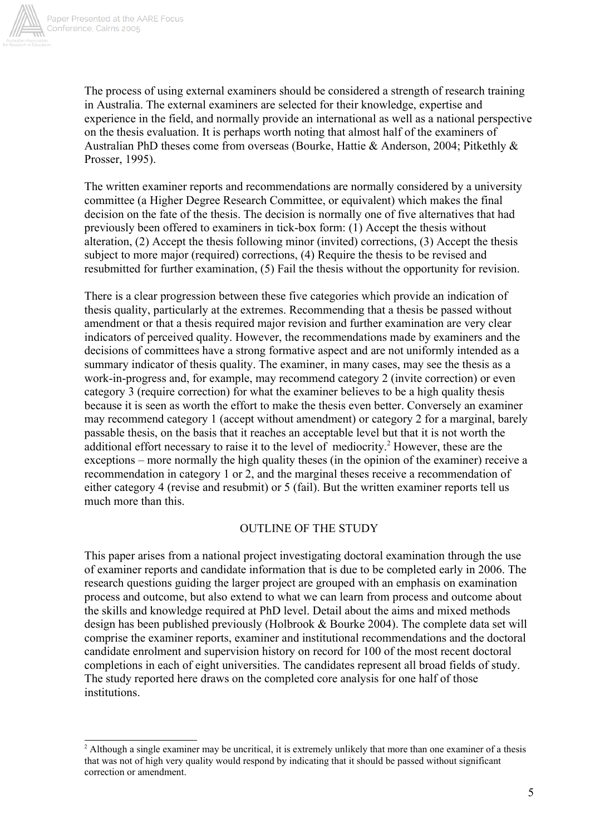

The process of using external examiners should be considered a strength of research training in Australia. The external examiners are selected for their knowledge, expertise and experience in the field, and normally provide an international as well as a national perspective on the thesis evaluation. It is perhaps worth noting that almost half of the examiners of Australian PhD theses come from overseas (Bourke, Hattie & Anderson, 2004; Pitkethly & Prosser, 1995).

The written examiner reports and recommendations are normally considered by a university committee (a Higher Degree Research Committee, or equivalent) which makes the final decision on the fate of the thesis. The decision is normally one of five alternatives that had previously been offered to examiners in tick-box form: (1) Accept the thesis without alteration, (2) Accept the thesis following minor (invited) corrections, (3) Accept the thesis subject to more major (required) corrections, (4) Require the thesis to be revised and resubmitted for further examination, (5) Fail the thesis without the opportunity for revision.

There is a clear progression between these five categories which provide an indication of thesis quality, particularly at the extremes. Recommending that a thesis be passed without amendment or that a thesis required major revision and further examination are very clear indicators of perceived quality. However, the recommendations made by examiners and the decisions of committees have a strong formative aspect and are not uniformly intended as a summary indicator of thesis quality. The examiner, in many cases, may see the thesis as a work-in-progress and, for example, may recommend category 2 (invite correction) or even category 3 (require correction) for what the examiner believes to be a high quality thesis because it is seen as worth the effort to make the thesis even better. Conversely an examiner may recommend category 1 (accept without amendment) or category 2 for a marginal, barely passable thesis, on the basis that it reaches an acceptable level but that it is not worth the additional effort necessary to raise it to the level of mediocrity.<sup>2</sup> However, these are the exceptions – more normally the high quality theses (in the opinion of the examiner) receive a recommendation in category 1 or 2, and the marginal theses receive a recommendation of either category 4 (revise and resubmit) or 5 (fail). But the written examiner reports tell us much more than this.

### OUTLINE OF THE STUDY

This paper arises from a national project investigating doctoral examination through the use of examiner reports and candidate information that is due to be completed early in 2006. The research questions guiding the larger project are grouped with an emphasis on examination process and outcome, but also extend to what we can learn from process and outcome about the skills and knowledge required at PhD level. Detail about the aims and mixed methods design has been published previously (Holbrook & Bourke 2004). The complete data set will comprise the examiner reports, examiner and institutional recommendations and the doctoral candidate enrolment and supervision history on record for 100 of the most recent doctoral completions in each of eight universities. The candidates represent all broad fields of study. The study reported here draws on the completed core analysis for one half of those institutions.

<sup>&</sup>lt;sup>2</sup> Although a single examiner may be uncritical, it is extremely unlikely that more than one examiner of a thesis that was not of high very quality would respond by indicating that it should be passed without significant correction or amendment.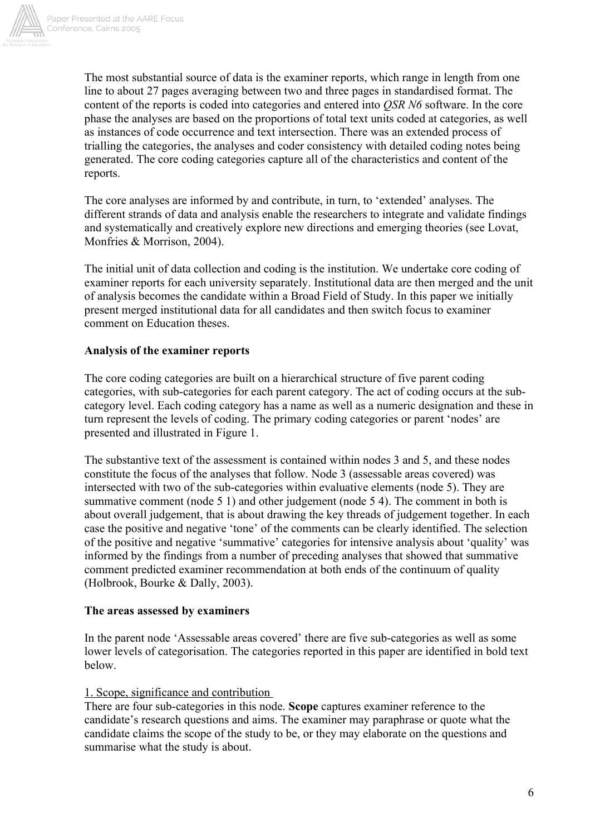

The most substantial source of data is the examiner reports, which range in length from one line to about 27 pages averaging between two and three pages in standardised format. The content of the reports is coded into categories and entered into *QSR N6* software. In the core phase the analyses are based on the proportions of total text units coded at categories, as well as instances of code occurrence and text intersection. There was an extended process of trialling the categories, the analyses and coder consistency with detailed coding notes being generated. The core coding categories capture all of the characteristics and content of the reports.

The core analyses are informed by and contribute, in turn, to 'extended' analyses. The different strands of data and analysis enable the researchers to integrate and validate findings and systematically and creatively explore new directions and emerging theories (see Lovat, Monfries & Morrison, 2004).

The initial unit of data collection and coding is the institution. We undertake core coding of examiner reports for each university separately. Institutional data are then merged and the unit of analysis becomes the candidate within a Broad Field of Study. In this paper we initially present merged institutional data for all candidates and then switch focus to examiner comment on Education theses.

## **Analysis of the examiner reports**

The core coding categories are built on a hierarchical structure of five parent coding categories, with sub-categories for each parent category. The act of coding occurs at the subcategory level. Each coding category has a name as well as a numeric designation and these in turn represent the levels of coding. The primary coding categories or parent 'nodes' are presented and illustrated in Figure 1.

The substantive text of the assessment is contained within nodes 3 and 5, and these nodes constitute the focus of the analyses that follow. Node 3 (assessable areas covered) was intersected with two of the sub-categories within evaluative elements (node 5). They are summative comment (node 5 1) and other judgement (node 5 4). The comment in both is about overall judgement, that is about drawing the key threads of judgement together. In each case the positive and negative 'tone' of the comments can be clearly identified. The selection of the positive and negative 'summative' categories for intensive analysis about 'quality' was informed by the findings from a number of preceding analyses that showed that summative comment predicted examiner recommendation at both ends of the continuum of quality (Holbrook, Bourke & Dally, 2003).

## **The areas assessed by examiners**

In the parent node 'Assessable areas covered' there are five sub-categories as well as some lower levels of categorisation. The categories reported in this paper are identified in bold text below.

### 1. Scope, significance and contribution

There are four sub-categories in this node. **Scope** captures examiner reference to the candidate's research questions and aims. The examiner may paraphrase or quote what the candidate claims the scope of the study to be, or they may elaborate on the questions and summarise what the study is about.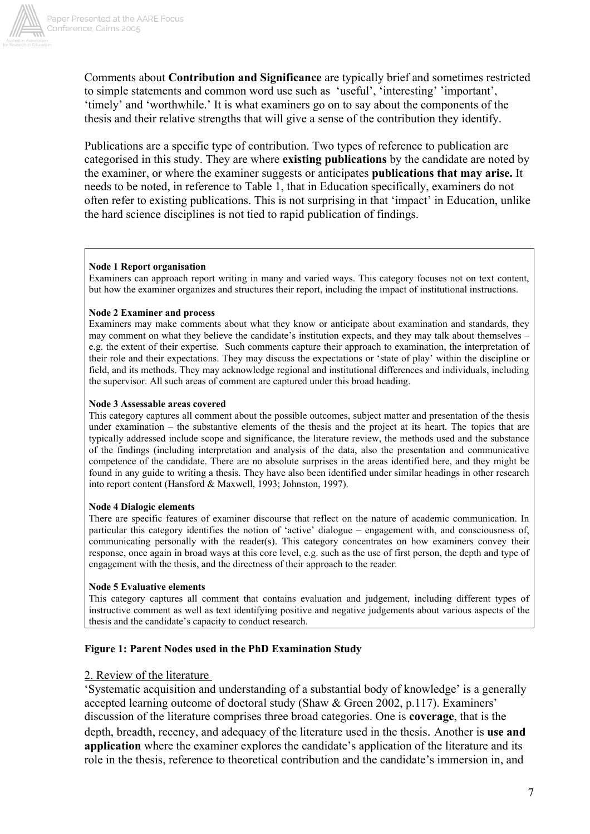

Comments about **Contribution and Significance** are typically brief and sometimes restricted to simple statements and common word use such as 'useful', 'interesting' 'important', 'timely' and 'worthwhile.' It is what examiners go on to say about the components of the thesis and their relative strengths that will give a sense of the contribution they identify.

Publications are a specific type of contribution. Two types of reference to publication are categorised in this study. They are where **existing publications** by the candidate are noted by the examiner, or where the examiner suggests or anticipates **publications that may arise.** It needs to be noted, in reference to Table 1, that in Education specifically, examiners do not often refer to existing publications. This is not surprising in that 'impact' in Education, unlike the hard science disciplines is not tied to rapid publication of findings.

#### **Node 1 Report organisation**

Examiners can approach report writing in many and varied ways. This category focuses not on text content, but how the examiner organizes and structures their report, including the impact of institutional instructions.

#### **Node 2 Examiner and process**

Examiners may make comments about what they know or anticipate about examination and standards, they may comment on what they believe the candidate's institution expects, and they may talk about themselves – e.g. the extent of their expertise. Such comments capture their approach to examination, the interpretation of their role and their expectations. They may discuss the expectations or 'state of play' within the discipline or field, and its methods. They may acknowledge regional and institutional differences and individuals, including the supervisor. All such areas of comment are captured under this broad heading.

#### **Node 3 Assessable areas covered**

This category captures all comment about the possible outcomes, subject matter and presentation of the thesis under examination – the substantive elements of the thesis and the project at its heart. The topics that are typically addressed include scope and significance, the literature review, the methods used and the substance of the findings (including interpretation and analysis of the data, also the presentation and communicative competence of the candidate. There are no absolute surprises in the areas identified here, and they might be found in any guide to writing a thesis. They have also been identified under similar headings in other research into report content (Hansford & Maxwell, 1993; Johnston, 1997).

#### **Node 4 Dialogic elements**

There are specific features of examiner discourse that reflect on the nature of academic communication. In particular this category identifies the notion of 'active' dialogue – engagement with, and consciousness of, communicating personally with the reader(s). This category concentrates on how examiners convey their response, once again in broad ways at this core level, e.g. such as the use of first person, the depth and type of engagement with the thesis, and the directness of their approach to the reader.

#### **Node 5 Evaluative elements**

This category captures all comment that contains evaluation and judgement, including different types of instructive comment as well as text identifying positive and negative judgements about various aspects of the thesis and the candidate's capacity to conduct research.

### **Figure 1: Parent Nodes used in the PhD Examination Study**

#### 2. Review of the literature

'Systematic acquisition and understanding of a substantial body of knowledge' is a generally accepted learning outcome of doctoral study (Shaw & Green 2002, p.117). Examiners' discussion of the literature comprises three broad categories. One is **coverage**, that is the depth, breadth, recency, and adequacy of the literature used in the thesis. Another is **use and application** where the examiner explores the candidate's application of the literature and its role in the thesis, reference to theoretical contribution and the candidate's immersion in, and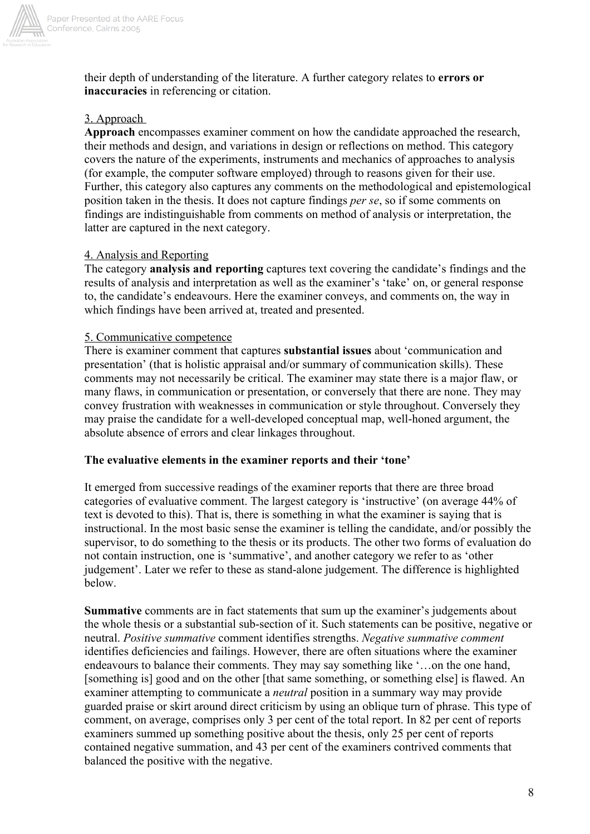

their depth of understanding of the literature. A further category relates to **errors or inaccuracies** in referencing or citation.

## 3. Approach

**Approach** encompasses examiner comment on how the candidate approached the research, their methods and design, and variations in design or reflections on method. This category covers the nature of the experiments, instruments and mechanics of approaches to analysis (for example, the computer software employed) through to reasons given for their use. Further, this category also captures any comments on the methodological and epistemological position taken in the thesis. It does not capture findings *per se*, so if some comments on findings are indistinguishable from comments on method of analysis or interpretation, the latter are captured in the next category.

## 4. Analysis and Reporting

The category **analysis and reporting** captures text covering the candidate's findings and the results of analysis and interpretation as well as the examiner's 'take' on, or general response to, the candidate's endeavours. Here the examiner conveys, and comments on, the way in which findings have been arrived at, treated and presented.

## 5. Communicative competence

There is examiner comment that captures **substantial issues** about 'communication and presentation' (that is holistic appraisal and/or summary of communication skills). These comments may not necessarily be critical. The examiner may state there is a major flaw, or many flaws, in communication or presentation, or conversely that there are none. They may convey frustration with weaknesses in communication or style throughout. Conversely they may praise the candidate for a well-developed conceptual map, well-honed argument, the absolute absence of errors and clear linkages throughout.

## **The evaluative elements in the examiner reports and their 'tone'**

It emerged from successive readings of the examiner reports that there are three broad categories of evaluative comment. The largest category is 'instructive' (on average 44% of text is devoted to this). That is, there is something in what the examiner is saying that is instructional. In the most basic sense the examiner is telling the candidate, and/or possibly the supervisor, to do something to the thesis or its products. The other two forms of evaluation do not contain instruction, one is 'summative', and another category we refer to as 'other judgement'. Later we refer to these as stand-alone judgement. The difference is highlighted below.

**Summative** comments are in fact statements that sum up the examiner's judgements about the whole thesis or a substantial sub-section of it. Such statements can be positive, negative or neutral. *Positive summative* comment identifies strengths. *Negative summative comment* identifies deficiencies and failings. However, there are often situations where the examiner endeavours to balance their comments. They may say something like '…on the one hand, [something is] good and on the other [that same something, or something else] is flawed. An examiner attempting to communicate a *neutral* position in a summary way may provide guarded praise or skirt around direct criticism by using an oblique turn of phrase. This type of comment, on average, comprises only 3 per cent of the total report. In 82 per cent of reports examiners summed up something positive about the thesis, only 25 per cent of reports contained negative summation, and 43 per cent of the examiners contrived comments that balanced the positive with the negative.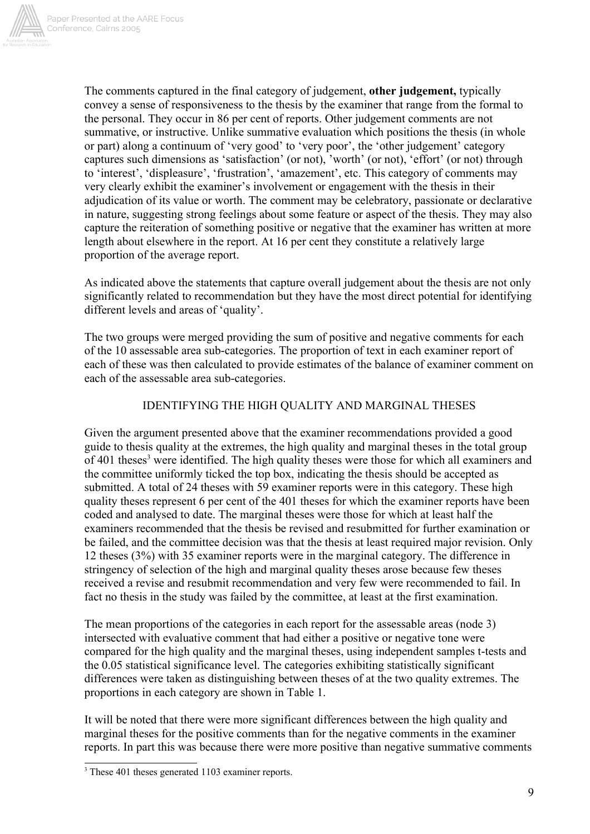

The comments captured in the final category of judgement, **other judgement,** typically convey a sense of responsiveness to the thesis by the examiner that range from the formal to the personal. They occur in 86 per cent of reports. Other judgement comments are not summative, or instructive. Unlike summative evaluation which positions the thesis (in whole or part) along a continuum of 'very good' to 'very poor', the 'other judgement' category captures such dimensions as 'satisfaction' (or not), 'worth' (or not), 'effort' (or not) through to 'interest', 'displeasure', 'frustration', 'amazement', etc. This category of comments may very clearly exhibit the examiner's involvement or engagement with the thesis in their adjudication of its value or worth. The comment may be celebratory, passionate or declarative in nature, suggesting strong feelings about some feature or aspect of the thesis. They may also capture the reiteration of something positive or negative that the examiner has written at more length about elsewhere in the report. At 16 per cent they constitute a relatively large proportion of the average report.

As indicated above the statements that capture overall judgement about the thesis are not only significantly related to recommendation but they have the most direct potential for identifying different levels and areas of 'quality'.

The two groups were merged providing the sum of positive and negative comments for each of the 10 assessable area sub-categories. The proportion of text in each examiner report of each of these was then calculated to provide estimates of the balance of examiner comment on each of the assessable area sub-categories.

## IDENTIFYING THE HIGH QUALITY AND MARGINAL THESES

Given the argument presented above that the examiner recommendations provided a good guide to thesis quality at the extremes, the high quality and marginal theses in the total group of 401 theses<sup>3</sup> were identified. The high quality theses were those for which all examiners and the committee uniformly ticked the top box, indicating the thesis should be accepted as submitted. A total of 24 theses with 59 examiner reports were in this category. These high quality theses represent 6 per cent of the 401 theses for which the examiner reports have been coded and analysed to date. The marginal theses were those for which at least half the examiners recommended that the thesis be revised and resubmitted for further examination or be failed, and the committee decision was that the thesis at least required major revision. Only 12 theses (3%) with 35 examiner reports were in the marginal category. The difference in stringency of selection of the high and marginal quality theses arose because few theses received a revise and resubmit recommendation and very few were recommended to fail. In fact no thesis in the study was failed by the committee, at least at the first examination.

The mean proportions of the categories in each report for the assessable areas (node 3) intersected with evaluative comment that had either a positive or negative tone were compared for the high quality and the marginal theses, using independent samples t-tests and the 0.05 statistical significance level. The categories exhibiting statistically significant differences were taken as distinguishing between theses of at the two quality extremes. The proportions in each category are shown in Table 1.

It will be noted that there were more significant differences between the high quality and marginal theses for the positive comments than for the negative comments in the examiner reports. In part this was because there were more positive than negative summative comments

<sup>&</sup>lt;sup>3</sup> These 401 theses generated 1103 examiner reports.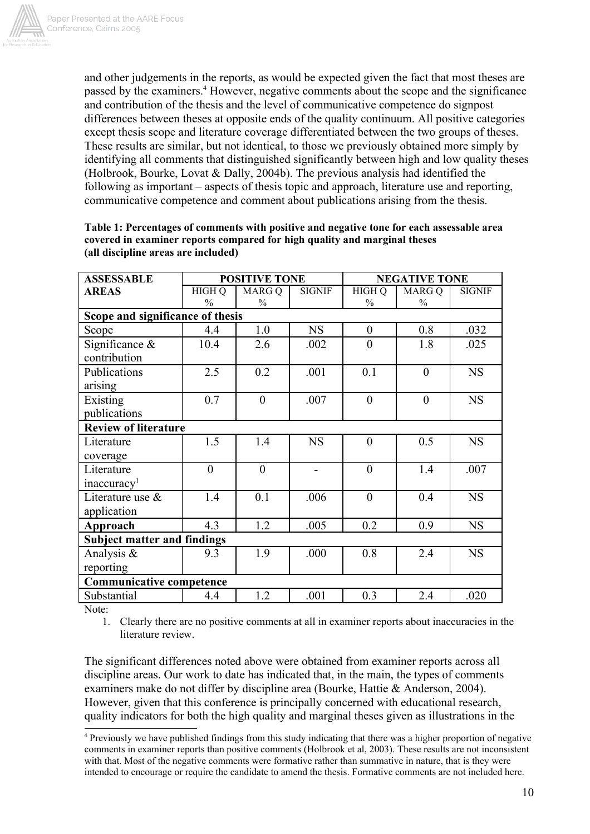

and other judgements in the reports, as would be expected given the fact that most theses are passed by the examiners. 4 However, negative comments about the scope and the significance and contribution of the thesis and the level of communicative competence do signpost differences between theses at opposite ends of the quality continuum. All positive categories except thesis scope and literature coverage differentiated between the two groups of theses. These results are similar, but not identical, to those we previously obtained more simply by identifying all comments that distinguished significantly between high and low quality theses (Holbrook, Bourke, Lovat  $&$  Dally, 2004b). The previous analysis had identified the following as important – aspects of thesis topic and approach, literature use and reporting, communicative competence and comment about publications arising from the thesis.

| <b>ASSESSABLE</b>                  | <b>POSITIVE TONE</b> |                | <b>NEGATIVE TONE</b> |                  |                |               |  |  |
|------------------------------------|----------------------|----------------|----------------------|------------------|----------------|---------------|--|--|
| <b>AREAS</b>                       | <b>HIGH Q</b>        | MARG Q         | <b>SIGNIF</b>        | <b>HIGH Q</b>    | MARG Q         | <b>SIGNIF</b> |  |  |
|                                    | $\%$                 | $\frac{0}{0}$  |                      | $\frac{0}{0}$    | $\frac{0}{0}$  |               |  |  |
| Scope and significance of thesis   |                      |                |                      |                  |                |               |  |  |
| Scope                              | 4.4                  | 1.0            | <b>NS</b>            | $\boldsymbol{0}$ | 0.8            | .032          |  |  |
| Significance $\&$<br>contribution  | 10.4                 | 2.6            | .002                 | $\overline{0}$   | 1.8            | .025          |  |  |
|                                    |                      |                |                      |                  |                |               |  |  |
| Publications<br>arising            | 2.5                  | 0.2            | .001                 | 0.1              | $\theta$       | <b>NS</b>     |  |  |
| Existing                           | 0.7                  | $\overline{0}$ | .007                 | $\overline{0}$   | $\overline{0}$ | <b>NS</b>     |  |  |
| publications                       |                      |                |                      |                  |                |               |  |  |
| <b>Review of literature</b>        |                      |                |                      |                  |                |               |  |  |
| Literature                         | 1.5                  | 1.4            | <b>NS</b>            | $\overline{0}$   | 0.5            | <b>NS</b>     |  |  |
| coverage                           |                      |                |                      |                  |                |               |  |  |
| Literature                         | $\overline{0}$       | $\overline{0}$ |                      | $\overline{0}$   | 1.4            | .007          |  |  |
| inaccuracy <sup>1</sup>            |                      |                |                      |                  |                |               |  |  |
| Literature use &                   | 1.4                  | 0.1            | .006                 | $\theta$         | 0.4            | <b>NS</b>     |  |  |
| application                        |                      |                |                      |                  |                |               |  |  |
| Approach                           | 4.3                  | 1.2            | .005                 | 0.2              | 0.9            | <b>NS</b>     |  |  |
| <b>Subject matter and findings</b> |                      |                |                      |                  |                |               |  |  |
| Analysis $\&$                      | 9.3                  | 1.9            | .000                 | 0.8              | 2.4            | <b>NS</b>     |  |  |
| reporting                          |                      |                |                      |                  |                |               |  |  |
| <b>Communicative competence</b>    |                      |                |                      |                  |                |               |  |  |
| Substantial                        | 4.4                  | 1.2            | .001                 | 0.3              | 2.4            | .020          |  |  |

| Table 1: Percentages of comments with positive and negative tone for each assessable area |
|-------------------------------------------------------------------------------------------|
| covered in examiner reports compared for high quality and marginal theses                 |
| (all discipline areas are included)                                                       |

Note:

1. Clearly there are no positive comments at all in examiner reports about inaccuracies in the literature review.

The significant differences noted above were obtained from examiner reports across all discipline areas. Our work to date has indicated that, in the main, the types of comments examiners make do not differ by discipline area (Bourke, Hattie & Anderson, 2004). However, given that this conference is principally concerned with educational research, quality indicators for both the high quality and marginal theses given as illustrations in the

<sup>4</sup> Previously we have published findings from this study indicating that there was a higher proportion of negative comments in examiner reports than positive comments (Holbrook et al, 2003). These results are not inconsistent with that. Most of the negative comments were formative rather than summative in nature, that is they were intended to encourage or require the candidate to amend the thesis. Formative comments are not included here.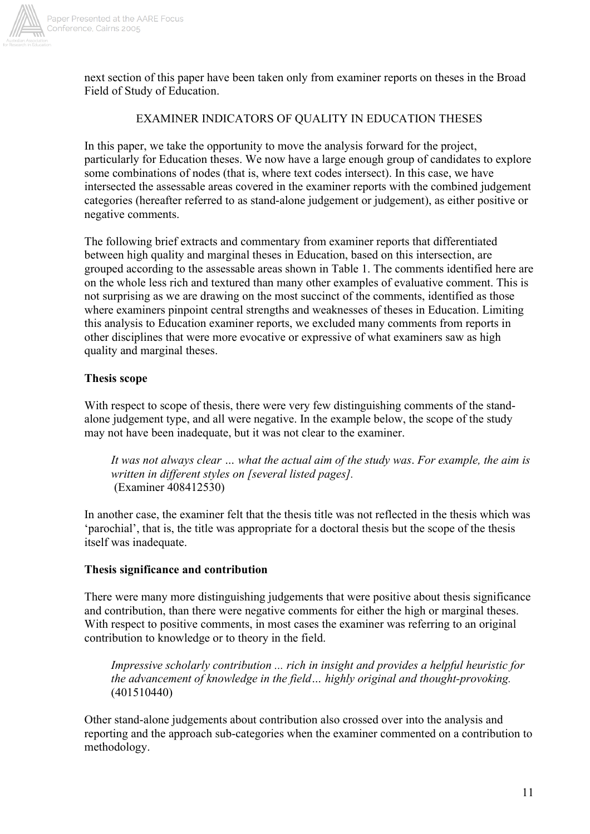

next section of this paper have been taken only from examiner reports on theses in the Broad Field of Study of Education.

## EXAMINER INDICATORS OF QUALITY IN EDUCATION THESES

In this paper, we take the opportunity to move the analysis forward for the project, particularly for Education theses. We now have a large enough group of candidates to explore some combinations of nodes (that is, where text codes intersect). In this case, we have intersected the assessable areas covered in the examiner reports with the combined judgement categories (hereafter referred to as stand-alone judgement or judgement), as either positive or negative comments.

The following brief extracts and commentary from examiner reports that differentiated between high quality and marginal theses in Education, based on this intersection, are grouped according to the assessable areas shown in Table 1. The comments identified here are on the whole less rich and textured than many other examples of evaluative comment. This is not surprising as we are drawing on the most succinct of the comments, identified as those where examiners pinpoint central strengths and weaknesses of theses in Education. Limiting this analysis to Education examiner reports, we excluded many comments from reports in other disciplines that were more evocative or expressive of what examiners saw as high quality and marginal theses.

### **Thesis scope**

With respect to scope of thesis, there were very few distinguishing comments of the standalone judgement type, and all were negative. In the example below, the scope of the study may not have been inadequate, but it was not clear to the examiner.

*It was not always clear … what the actual aim of the study was*. *For example, the aim is written in different styles on [several listed pages].* (Examiner 408412530)

In another case, the examiner felt that the thesis title was not reflected in the thesis which was 'parochial', that is, the title was appropriate for a doctoral thesis but the scope of the thesis itself was inadequate.

### **Thesis significance and contribution**

There were many more distinguishing judgements that were positive about thesis significance and contribution, than there were negative comments for either the high or marginal theses. With respect to positive comments, in most cases the examiner was referring to an original contribution to knowledge or to theory in the field.

*Impressive scholarly contribution ... rich in insight and provides a helpful heuristic for the advancement of knowledge in the field… highly original and thought-provoking.* (401510440)

Other stand-alone judgements about contribution also crossed over into the analysis and reporting and the approach sub-categories when the examiner commented on a contribution to methodology.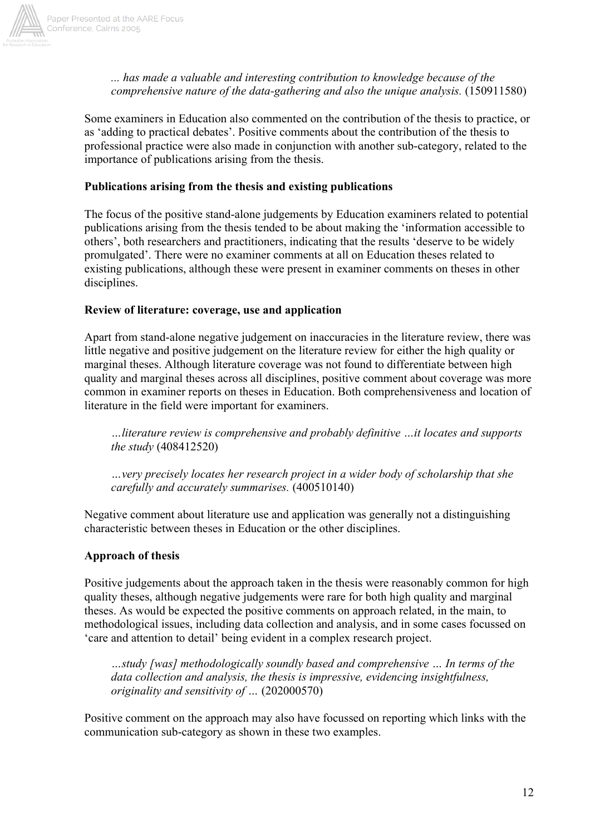

*... has made a valuable and interesting contribution to knowledge because of the comprehensive nature of the data-gathering and also the unique analysis.* (150911580)

Some examiners in Education also commented on the contribution of the thesis to practice, or as 'adding to practical debates'. Positive comments about the contribution of the thesis to professional practice were also made in conjunction with another sub-category, related to the importance of publications arising from the thesis.

### **Publications arising from the thesis and existing publications**

The focus of the positive stand-alone judgements by Education examiners related to potential publications arising from the thesis tended to be about making the 'information accessible to others', both researchers and practitioners, indicating that the results 'deserve to be widely promulgated'. There were no examiner comments at all on Education theses related to existing publications, although these were present in examiner comments on theses in other disciplines.

### **Review of literature: coverage, use and application**

Apart from stand-alone negative judgement on inaccuracies in the literature review, there was little negative and positive judgement on the literature review for either the high quality or marginal theses. Although literature coverage was not found to differentiate between high quality and marginal theses across all disciplines, positive comment about coverage was more common in examiner reports on theses in Education. Both comprehensiveness and location of literature in the field were important for examiners.

*…literature review is comprehensive and probably definitive …it locates and supports the study* (408412520)

*…very precisely locates her research project in a wider body of scholarship that she carefully and accurately summarises.* (400510140)

Negative comment about literature use and application was generally not a distinguishing characteristic between theses in Education or the other disciplines.

## **Approach of thesis**

Positive judgements about the approach taken in the thesis were reasonably common for high quality theses, although negative judgements were rare for both high quality and marginal theses. As would be expected the positive comments on approach related, in the main, to methodological issues, including data collection and analysis, and in some cases focussed on 'care and attention to detail' being evident in a complex research project.

*…study [was] methodologically soundly based and comprehensive … In terms of the data collection and analysis, the thesis is impressive, evidencing insightfulness, originality and sensitivity of …* (202000570)

Positive comment on the approach may also have focussed on reporting which links with the communication sub-category as shown in these two examples.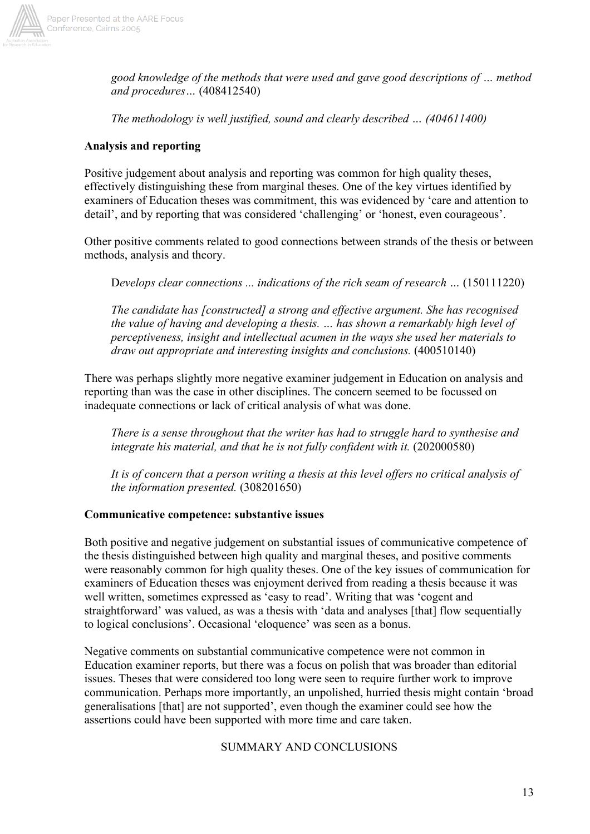

*good knowledge of the methods that were used and gave good descriptions of … method and procedures…* (408412540)

*The methodology is well justified, sound and clearly described … (404611400)*

## **Analysis and reporting**

Positive judgement about analysis and reporting was common for high quality theses, effectively distinguishing these from marginal theses. One of the key virtues identified by examiners of Education theses was commitment, this was evidenced by 'care and attention to detail', and by reporting that was considered 'challenging' or 'honest, even courageous'.

Other positive comments related to good connections between strands of the thesis or between methods, analysis and theory.

D*evelops clear connections ... indications of the rich seam of research …* (150111220)

*The candidate has [constructed] a strong and effective argument. She has recognised the value of having and developing a thesis. … has shown a remarkably high level of perceptiveness, insight and intellectual acumen in the ways she used her materials to draw out appropriate and interesting insights and conclusions.* (400510140)

There was perhaps slightly more negative examiner judgement in Education on analysis and reporting than was the case in other disciplines. The concern seemed to be focussed on inadequate connections or lack of critical analysis of what was done.

*There is a sense throughout that the writer has had to struggle hard to synthesise and* integrate his material, and that he is not fully confident with it. (202000580)

*It is of concern that a person writing a thesis at this level offers no critical analysis of the information presented.* (308201650)

## **Communicative competence: substantive issues**

Both positive and negative judgement on substantial issues of communicative competence of the thesis distinguished between high quality and marginal theses, and positive comments were reasonably common for high quality theses. One of the key issues of communication for examiners of Education theses was enjoyment derived from reading a thesis because it was well written, sometimes expressed as 'easy to read'. Writing that was 'cogent and straightforward' was valued, as was a thesis with 'data and analyses [that] flow sequentially to logical conclusions'. Occasional 'eloquence' was seen as a bonus.

Negative comments on substantial communicative competence were not common in Education examiner reports, but there was a focus on polish that was broader than editorial issues. Theses that were considered too long were seen to require further work to improve communication. Perhaps more importantly, an unpolished, hurried thesis might contain 'broad generalisations [that] are not supported', even though the examiner could see how the assertions could have been supported with more time and care taken.

SUMMARY AND CONCLUSIONS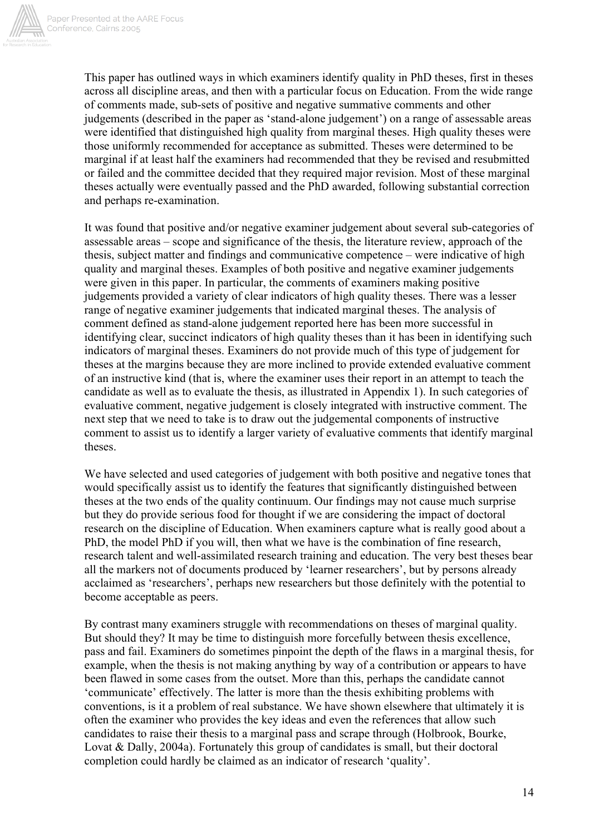

This paper has outlined ways in which examiners identify quality in PhD theses, first in theses across all discipline areas, and then with a particular focus on Education. From the wide range of comments made, sub-sets of positive and negative summative comments and other judgements (described in the paper as 'stand-alone judgement') on a range of assessable areas were identified that distinguished high quality from marginal theses. High quality theses were those uniformly recommended for acceptance as submitted. Theses were determined to be marginal if at least half the examiners had recommended that they be revised and resubmitted or failed and the committee decided that they required major revision. Most of these marginal theses actually were eventually passed and the PhD awarded, following substantial correction and perhaps re-examination.

It was found that positive and/or negative examiner judgement about several sub-categories of assessable areas – scope and significance of the thesis, the literature review, approach of the thesis, subject matter and findings and communicative competence – were indicative of high quality and marginal theses. Examples of both positive and negative examiner judgements were given in this paper. In particular, the comments of examiners making positive judgements provided a variety of clear indicators of high quality theses. There was a lesser range of negative examiner judgements that indicated marginal theses. The analysis of comment defined as stand-alone judgement reported here has been more successful in identifying clear, succinct indicators of high quality theses than it has been in identifying such indicators of marginal theses. Examiners do not provide much of this type of judgement for theses at the margins because they are more inclined to provide extended evaluative comment of an instructive kind (that is, where the examiner uses their report in an attempt to teach the candidate as well as to evaluate the thesis, as illustrated in Appendix 1). In such categories of evaluative comment, negative judgement is closely integrated with instructive comment. The next step that we need to take is to draw out the judgemental components of instructive comment to assist us to identify a larger variety of evaluative comments that identify marginal theses.

We have selected and used categories of judgement with both positive and negative tones that would specifically assist us to identify the features that significantly distinguished between theses at the two ends of the quality continuum. Our findings may not cause much surprise but they do provide serious food for thought if we are considering the impact of doctoral research on the discipline of Education. When examiners capture what is really good about a PhD, the model PhD if you will, then what we have is the combination of fine research, research talent and well-assimilated research training and education. The very best theses bear all the markers not of documents produced by 'learner researchers', but by persons already acclaimed as 'researchers', perhaps new researchers but those definitely with the potential to become acceptable as peers.

By contrast many examiners struggle with recommendations on theses of marginal quality. But should they? It may be time to distinguish more forcefully between thesis excellence, pass and fail. Examiners do sometimes pinpoint the depth of the flaws in a marginal thesis, for example, when the thesis is not making anything by way of a contribution or appears to have been flawed in some cases from the outset. More than this, perhaps the candidate cannot 'communicate' effectively. The latter is more than the thesis exhibiting problems with conventions, is it a problem of real substance. We have shown elsewhere that ultimately it is often the examiner who provides the key ideas and even the references that allow such candidates to raise their thesis to a marginal pass and scrape through (Holbrook, Bourke, Lovat & Dally, 2004a). Fortunately this group of candidates is small, but their doctoral completion could hardly be claimed as an indicator of research 'quality'.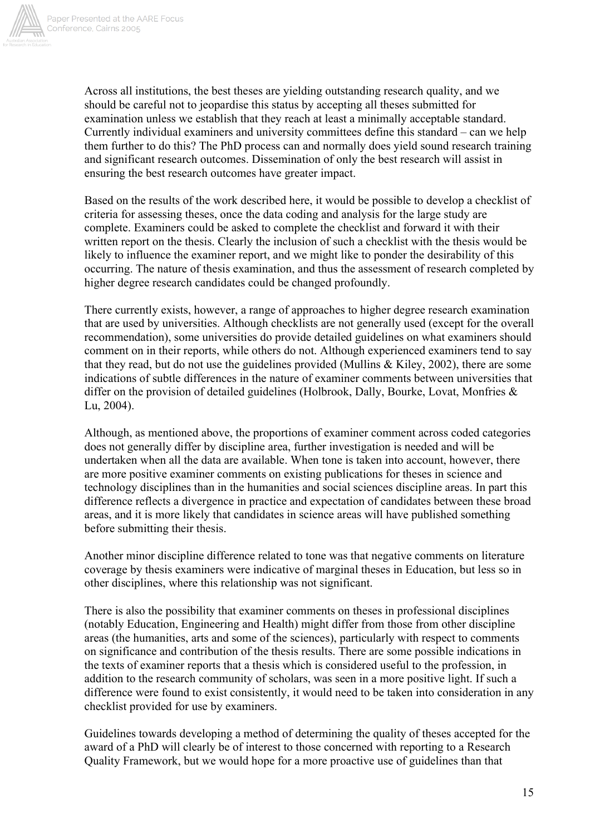

Across all institutions, the best theses are yielding outstanding research quality, and we should be careful not to jeopardise this status by accepting all theses submitted for examination unless we establish that they reach at least a minimally acceptable standard. Currently individual examiners and university committees define this standard – can we help them further to do this? The PhD process can and normally does yield sound research training and significant research outcomes. Dissemination of only the best research will assist in ensuring the best research outcomes have greater impact.

Based on the results of the work described here, it would be possible to develop a checklist of criteria for assessing theses, once the data coding and analysis for the large study are complete. Examiners could be asked to complete the checklist and forward it with their written report on the thesis. Clearly the inclusion of such a checklist with the thesis would be likely to influence the examiner report, and we might like to ponder the desirability of this occurring. The nature of thesis examination, and thus the assessment of research completed by higher degree research candidates could be changed profoundly.

There currently exists, however, a range of approaches to higher degree research examination that are used by universities. Although checklists are not generally used (except for the overall recommendation), some universities do provide detailed guidelines on what examiners should comment on in their reports, while others do not. Although experienced examiners tend to say that they read, but do not use the guidelines provided (Mullins  $&$  Kiley, 2002), there are some indications of subtle differences in the nature of examiner comments between universities that differ on the provision of detailed guidelines (Holbrook, Dally, Bourke, Lovat, Monfries  $\&$ Lu, 2004).

Although, as mentioned above, the proportions of examiner comment across coded categories does not generally differ by discipline area, further investigation is needed and will be undertaken when all the data are available. When tone is taken into account, however, there are more positive examiner comments on existing publications for theses in science and technology disciplines than in the humanities and social sciences discipline areas. In part this difference reflects a divergence in practice and expectation of candidates between these broad areas, and it is more likely that candidates in science areas will have published something before submitting their thesis.

Another minor discipline difference related to tone was that negative comments on literature coverage by thesis examiners were indicative of marginal theses in Education, but less so in other disciplines, where this relationship was not significant.

There is also the possibility that examiner comments on theses in professional disciplines (notably Education, Engineering and Health) might differ from those from other discipline areas (the humanities, arts and some of the sciences), particularly with respect to comments on significance and contribution of the thesis results. There are some possible indications in the texts of examiner reports that a thesis which is considered useful to the profession, in addition to the research community of scholars, was seen in a more positive light. If such a difference were found to exist consistently, it would need to be taken into consideration in any checklist provided for use by examiners.

Guidelines towards developing a method of determining the quality of theses accepted for the award of a PhD will clearly be of interest to those concerned with reporting to a Research Quality Framework, but we would hope for a more proactive use of guidelines than that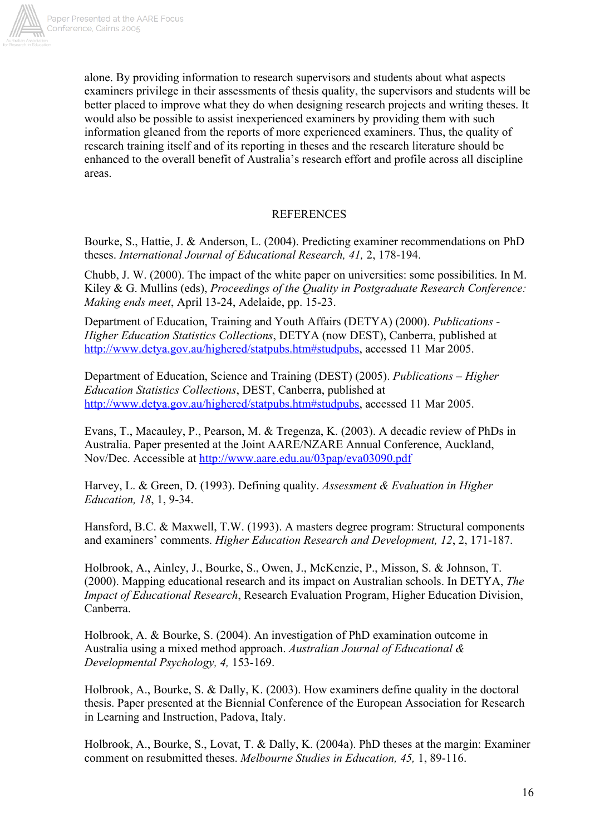

alone. By providing information to research supervisors and students about what aspects examiners privilege in their assessments of thesis quality, the supervisors and students will be better placed to improve what they do when designing research projects and writing theses. It would also be possible to assist inexperienced examiners by providing them with such information gleaned from the reports of more experienced examiners. Thus, the quality of research training itself and of its reporting in theses and the research literature should be enhanced to the overall benefit of Australia's research effort and profile across all discipline areas.

### **REFERENCES**

Bourke, S., Hattie, J. & Anderson, L. (2004). Predicting examiner recommendations on PhD theses. *International Journal of Educational Research, 41,* 2, 178-194.

Chubb, J. W. (2000). The impact of the white paper on universities: some possibilities. In M. Kiley & G. Mullins (eds), *Proceedings of the Quality in Postgraduate Research Conference: Making ends meet*, April 13-24, Adelaide, pp. 15-23.

Department of Education, Training and Youth Affairs (DETYA) (2000). *Publications - Higher Education Statistics Collections*, DETYA (now DEST), Canberra, published at http://www.detya.gov.au/highered/statpubs.htm#studpubs, accessed 11 Mar 2005.

Department of Education, Science and Training (DEST) (2005). *Publications – Higher Education Statistics Collections*, DEST, Canberra, published at http://www.detya.gov.au/highered/statpubs.htm#studpubs, accessed 11 Mar 2005.

Evans, T., Macauley, P., Pearson, M. & Tregenza, K. (2003). A decadic review of PhDs in Australia. Paper presented at the Joint AARE/NZARE Annual Conference, Auckland, Nov/Dec. Accessible at http://www.aare.edu.au/03pap/eva03090.pdf

Harvey, L. & Green, D. (1993). Defining quality. *Assessment & Evaluation in Higher Education, 18*, 1, 9-34.

Hansford, B.C. & Maxwell, T.W. (1993). A masters degree program: Structural components and examiners' comments. *Higher Education Research and Development, 12*, 2, 171-187.

Holbrook, A., Ainley, J., Bourke, S., Owen, J., McKenzie, P., Misson, S. & Johnson, T. (2000). Mapping educational research and its impact on Australian schools. In DETYA, *The Impact of Educational Research*, Research Evaluation Program, Higher Education Division, Canberra.

Holbrook, A. & Bourke, S. (2004). An investigation of PhD examination outcome in Australia using a mixed method approach. *Australian Journal of Educational & Developmental Psychology, 4,* 153-169.

Holbrook, A., Bourke, S. & Dally, K. (2003). How examiners define quality in the doctoral thesis. Paper presented at the Biennial Conference of the European Association for Research in Learning and Instruction, Padova, Italy.

Holbrook, A., Bourke, S., Lovat, T. & Dally, K. (2004a). PhD theses at the margin: Examiner comment on resubmitted theses. *Melbourne Studies in Education, 45,* 1, 89-116.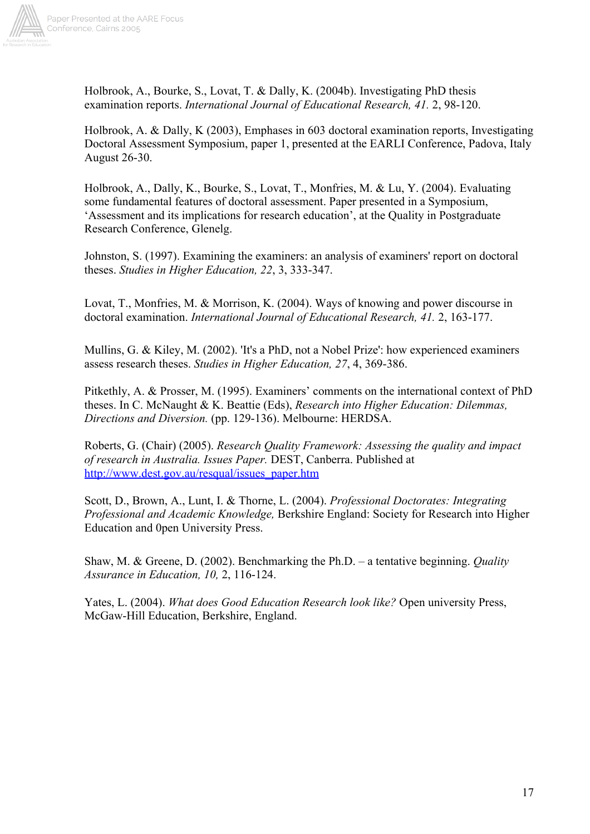

Holbrook, A., Bourke, S., Lovat, T. & Dally, K. (2004b). Investigating PhD thesis examination reports. *International Journal of Educational Research, 41.* 2, 98-120.

Holbrook, A. & Dally, K (2003), Emphases in 603 doctoral examination reports, Investigating Doctoral Assessment Symposium, paper 1, presented at the EARLI Conference, Padova, Italy August 26-30.

Holbrook, A., Dally, K., Bourke, S., Lovat, T., Monfries, M. & Lu, Y. (2004). Evaluating some fundamental features of doctoral assessment. Paper presented in a Symposium, 'Assessment and its implications for research education', at the Quality in Postgraduate Research Conference, Glenelg.

Johnston, S. (1997). Examining the examiners: an analysis of examiners' report on doctoral theses. *Studies in Higher Education, 22*, 3, 333-347.

Lovat, T., Monfries, M. & Morrison, K. (2004). Ways of knowing and power discourse in doctoral examination. *International Journal of Educational Research, 41.* 2, 163-177.

Mullins, G. & Kiley, M. (2002). 'It's a PhD, not a Nobel Prize': how experienced examiners assess research theses. *Studies in Higher Education, 27*, 4, 369-386.

Pitkethly, A. & Prosser, M. (1995). Examiners' comments on the international context of PhD theses. In C. McNaught & K. Beattie (Eds), *Research into Higher Education: Dilemmas, Directions and Diversion.* (pp. 129-136). Melbourne: HERDSA.

Roberts, G. (Chair) (2005). *Research Quality Framework: Assessing the quality and impact of research in Australia. Issues Paper.* DEST, Canberra. Published at http://www.dest.gov.au/resqual/issues\_paper.htm

Scott, D., Brown, A., Lunt, I. & Thorne, L. (2004). *Professional Doctorates: Integrating Professional and Academic Knowledge,* Berkshire England: Society for Research into Higher Education and 0pen University Press.

Shaw, M. & Greene, D. (2002). Benchmarking the Ph.D. – a tentative beginning. *Quality Assurance in Education, 10,* 2, 116-124.

Yates, L. (2004). *What does Good Education Research look like?* Open university Press, McGaw-Hill Education, Berkshire, England.